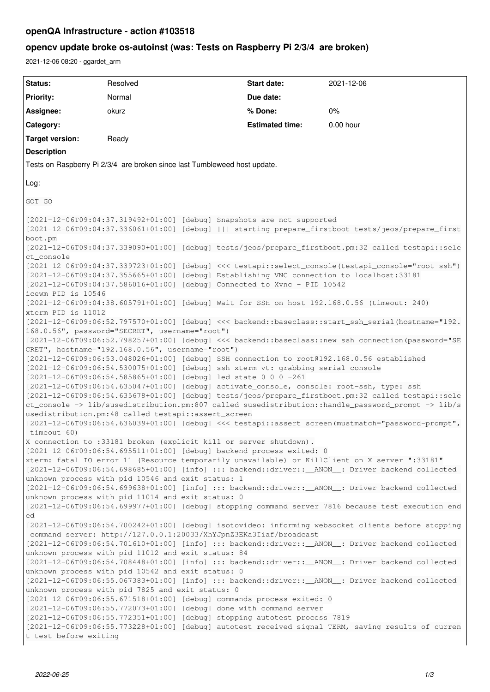# **openQA Infrastructure - action #103518**

# **opencv update broke os-autoinst (was: Tests on Raspberry Pi 2/3/4 are broken)**

2021-12-06 08:20 - ggardet\_arm

| Status:                                                                                                                                                               | Resolved                                                                  |  | <b>Start date:</b>     | 2021-12-06                                                                                         |
|-----------------------------------------------------------------------------------------------------------------------------------------------------------------------|---------------------------------------------------------------------------|--|------------------------|----------------------------------------------------------------------------------------------------|
| <b>Priority:</b>                                                                                                                                                      | Normal                                                                    |  | Due date:              |                                                                                                    |
| Assignee:                                                                                                                                                             | okurz                                                                     |  | % Done:                | $0\%$                                                                                              |
| Category:                                                                                                                                                             |                                                                           |  | <b>Estimated time:</b> | 0.00 hour                                                                                          |
| <b>Target version:</b>                                                                                                                                                | Ready                                                                     |  |                        |                                                                                                    |
| <b>Description</b>                                                                                                                                                    |                                                                           |  |                        |                                                                                                    |
| Tests on Raspberry Pi 2/3/4 are broken since last Tumbleweed host update.                                                                                             |                                                                           |  |                        |                                                                                                    |
| Log:                                                                                                                                                                  |                                                                           |  |                        |                                                                                                    |
|                                                                                                                                                                       |                                                                           |  |                        |                                                                                                    |
| GOT GO                                                                                                                                                                |                                                                           |  |                        |                                                                                                    |
|                                                                                                                                                                       | [2021-12-06T09:04:37.319492+01:00] [debug] Snapshots are not supported    |  |                        |                                                                                                    |
| [2021-12-06T09:04:37.336061+01:00] [debug]     starting prepare_firstboot tests/jeos/prepare_first                                                                    |                                                                           |  |                        |                                                                                                    |
| boot.pm<br>[2021-12-06T09:04:37.339090+01:00] [debug] tests/jeos/prepare_firstboot.pm:32 called testapi::sele                                                         |                                                                           |  |                        |                                                                                                    |
| ct_console                                                                                                                                                            |                                                                           |  |                        |                                                                                                    |
| [2021-12-06T09:04:37.339723+01:00] [debug] <<< testapi::select_console(testapi_console="root-ssh")                                                                    |                                                                           |  |                        |                                                                                                    |
| [2021-12-06T09:04:37.355665+01:00] [debug] Establishing VNC connection to localhost:33181<br>[2021-12-06T09:04:37.586016+01:00] [debug] Connected to Xvnc - PID 10542 |                                                                           |  |                        |                                                                                                    |
| icewm PID is 10546                                                                                                                                                    |                                                                           |  |                        |                                                                                                    |
| [2021-12-06T09:04:38.605791+01:00] [debug] Wait for SSH on host 192.168.0.56 (timeout: 240)<br>xterm PID is 11012                                                     |                                                                           |  |                        |                                                                                                    |
| [2021-12-06T09:06:52.797570+01:00] [debug] <<< backend::baseclass::start_ssh_serial(hostname="192.                                                                    |                                                                           |  |                        |                                                                                                    |
| 168.0.56", password="SECRET", username="root")                                                                                                                        |                                                                           |  |                        |                                                                                                    |
| [2021-12-06T09:06:52.798257+01:00] [debug] <<< backend::baseclass::new_ssh_connection(password="SE<br>CRET", hostname="192.168.0.56", username="root")                |                                                                           |  |                        |                                                                                                    |
| [2021-12-06T09:06:53.048026+01:00] [debug] SSH connection to root@192.168.0.56 established                                                                            |                                                                           |  |                        |                                                                                                    |
| [2021-12-06T09:06:54.530075+01:00] [debug] ssh xterm vt: grabbing serial console<br>[2021-12-06T09:06:54.585865+01:00] [debug] led state 0 0 0 -261                   |                                                                           |  |                        |                                                                                                    |
| [2021-12-06T09:06:54.635047+01:00] [debug] activate_console, console: root-ssh, type: ssh                                                                             |                                                                           |  |                        |                                                                                                    |
| [2021-12-06T09:06:54.635678+01:00] [debug] tests/jeos/prepare_firstboot.pm:32 called testapi::sele                                                                    |                                                                           |  |                        |                                                                                                    |
| ct_console -> lib/susedistribution.pm:807 called susedistribution::handle_password_prompt -> lib/s<br>usedistribution.pm:48 called testapi::assert_screen             |                                                                           |  |                        |                                                                                                    |
| [2021-12-06T09:06:54.636039+01:00] [debug] <<< testapi::assert_screen(mustmatch="password-prompt",                                                                    |                                                                           |  |                        |                                                                                                    |
| $timeout=60$ )                                                                                                                                                        |                                                                           |  |                        |                                                                                                    |
| X connection to :33181 broken (explicit kill or server shutdown).<br>[2021-12-06T09:06:54.695511+01:00] [debug] backend process exited: 0                             |                                                                           |  |                        |                                                                                                    |
| xterm: fatal IO error 11 (Resource temporarily unavailable) or KillClient on X server ":33181"                                                                        |                                                                           |  |                        |                                                                                                    |
| [2021-12-06T09:06:54.698685+01:00] [info] ::: backend::driver:: __ANON__: Driver backend collected<br>unknown process with pid 10546 and exit status: 1               |                                                                           |  |                        |                                                                                                    |
| [2021-12-06T09:06:54.699638+01:00] [info] ::: backend::driver:: __ANON__: Driver backend collected                                                                    |                                                                           |  |                        |                                                                                                    |
| unknown process with pid 11014 and exit status: 0                                                                                                                     |                                                                           |  |                        |                                                                                                    |
| [2021-12-06T09:06:54.699977+01:00] [debug] stopping command server 7816 because test execution end<br>ed                                                              |                                                                           |  |                        |                                                                                                    |
| [2021-12-06T09:06:54.700242+01:00] [debug] isotovideo: informing websocket clients before stopping                                                                    |                                                                           |  |                        |                                                                                                    |
| command server: http://127.0.0.1:20033/XhYJpnZ3EKa3Iiaf/broadcast                                                                                                     |                                                                           |  |                        |                                                                                                    |
| [2021-12-06T09:06:54.701610+01:00] [info] ::: backend::driver::__ANON__: Driver backend collected<br>unknown process with pid 11012 and exit status: 84               |                                                                           |  |                        |                                                                                                    |
| [2021-12-06T09:06:54.708448+01:00] [info] ::: backend::driver::__ANON__: Driver backend collected                                                                     |                                                                           |  |                        |                                                                                                    |
| unknown process with pid 10542 and exit status: 0<br>[2021-12-06T09:06:55.067383+01:00] [info] ::: backend::driver::__ANON__: Driver backend collected                |                                                                           |  |                        |                                                                                                    |
| unknown process with pid 7825 and exit status: 0                                                                                                                      |                                                                           |  |                        |                                                                                                    |
| [2021-12-06T09:06:55.671518+01:00] [debug] commands process exited: 0<br>[2021-12-06T09:06:55.772073+01:00] [debug] done with command server                          |                                                                           |  |                        |                                                                                                    |
|                                                                                                                                                                       | [2021-12-06T09:06:55.772351+01:00] [debug] stopping autotest process 7819 |  |                        |                                                                                                    |
|                                                                                                                                                                       |                                                                           |  |                        | [2021-12-06T09:06:55.773228+01:00] [debug] autotest received signal TERM, saving results of curren |
| t test before exiting                                                                                                                                                 |                                                                           |  |                        |                                                                                                    |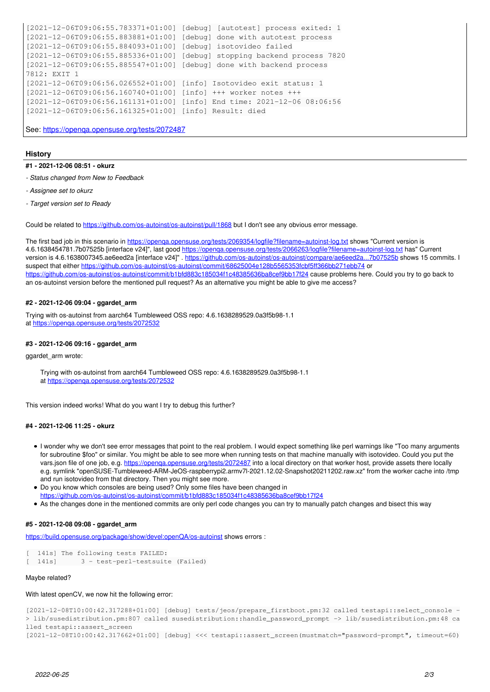```
[2021-12-06T09:06:55.783371+01:00] [debug] [autotest] process exited: 1
[2021-12-06T09:06:55.883881+01:00] [debug] done with autotest process
[2021-12-06T09:06:55.884093+01:00] [debug] isotovideo failed
[2021-12-06T09:06:55.885336+01:00] [debug] stopping backend process 7820
[2021-12-06T09:06:55.885547+01:00] [debug] done with backend process
7812: EXIT 1
[2021-12-06T09:06:56.026552+01:00] [info] Isotovideo exit status: 1
[2021-12-06T09:06:56.160740+01:00] [info] +++ worker notes +++
[2021-12-06T09:06:56.161131+01:00] [info] End time: 2021-12-06 08:06:56
[2021-12-06T09:06:56.161325+01:00] [info] Result: died
```
See:<https://openqa.opensuse.org/tests/2072487>

#### **History**

- **#1 2021-12-06 08:51 okurz**
- *Status changed from New to Feedback*
- *Assignee set to okurz*
- *Target version set to Ready*

Could be related to <https://github.com/os-autoinst/os-autoinst/pull/1868>but I don't see any obvious error message.

The first bad job in this scenario in https://openga.opensuse.org/tests/2069354/logfile?filename=autoinst-log.txt shows "Current version is 4.6.1638454781.7b07525b [interface v24]", last good<https://openqa.opensuse.org/tests/2066263/logfile?filename=autoinst-log.txt>has" Current version is 4.6.1638007345.ae6eed2a [interface v24]" . <https://github.com/os-autoinst/os-autoinst/compare/ae6eed2a...7b07525b> shows 15 commits. I suspect that either <https://github.com/os-autoinst/os-autoinst/commit/68625004e128b5565353fcbf5ff366bb271ebb74> or <https://github.com/os-autoinst/os-autoinst/commit/b1bfd883c185034f1c48385636ba8cef9bb17f24>cause problems here. Could you try to go back to an os-autoinst version before the mentioned pull request? As an alternative you might be able to give me access?

### **#2 - 2021-12-06 09:04 - ggardet\_arm**

Trying with os-autoinst from aarch64 Tumbleweed OSS repo: 4.6.1638289529.0a3f5b98-1.1 at<https://openqa.opensuse.org/tests/2072532>

#### **#3 - 2021-12-06 09:16 - ggardet\_arm**

#### ggardet arm wrote:

Trying with os-autoinst from aarch64 Tumbleweed OSS repo: 4.6.1638289529.0a3f5b98-1.1 at <https://openqa.opensuse.org/tests/2072532>

This version indeed works! What do you want I try to debug this further?

# **#4 - 2021-12-06 11:25 - okurz**

- I wonder why we don't see error messages that point to the real problem. I would expect something like perl warnings like "Too many arguments for subroutine \$foo" or similar. You might be able to see more when running tests on that machine manually with isotovideo. Could you put the vars.json file of one job, e.g. <https://openqa.opensuse.org/tests/2072487>into a local directory on that worker host, provide assets there locally e.g. symlink "openSUSE-Tumbleweed-ARM-JeOS-raspberrypi2.armv7l-2021.12.02-Snapshot20211202.raw.xz" from the worker cache into /tmp and run isotovideo from that directory. Then you might see more.
- Do you know which consoles are being used? Only some files have been changed in <https://github.com/os-autoinst/os-autoinst/commit/b1bfd883c185034f1c48385636ba8cef9bb17f24>
- As the changes done in the mentioned commits are only perl code changes you can try to manually patch changes and bisect this way

# **#5 - 2021-12-08 09:08 - ggardet\_arm**

<https://build.opensuse.org/package/show/devel:openQA/os-autoinst> shows errors :

```
141s] The following tests FAILED:
[ 141s] 3 - test-perl-testsuite (Failed)
```
# Maybe related?

#### With latest openCV, we now hit the following error:

```
[2021-12-08T10:00:42.317288+01:00] [debug] tests/jeos/prepare_firstboot.pm:32 called testapi::select_console -
> lib/susedistribution.pm:807 called susedistribution::handle_password_prompt -> lib/susedistribution.pm:48 ca
lled testapi::assert_screen
[2021-12-08T10:00:42.317662+01:00] [debug] <<< testapi::assert_screen(mustmatch="password-prompt", timeout=60)
```